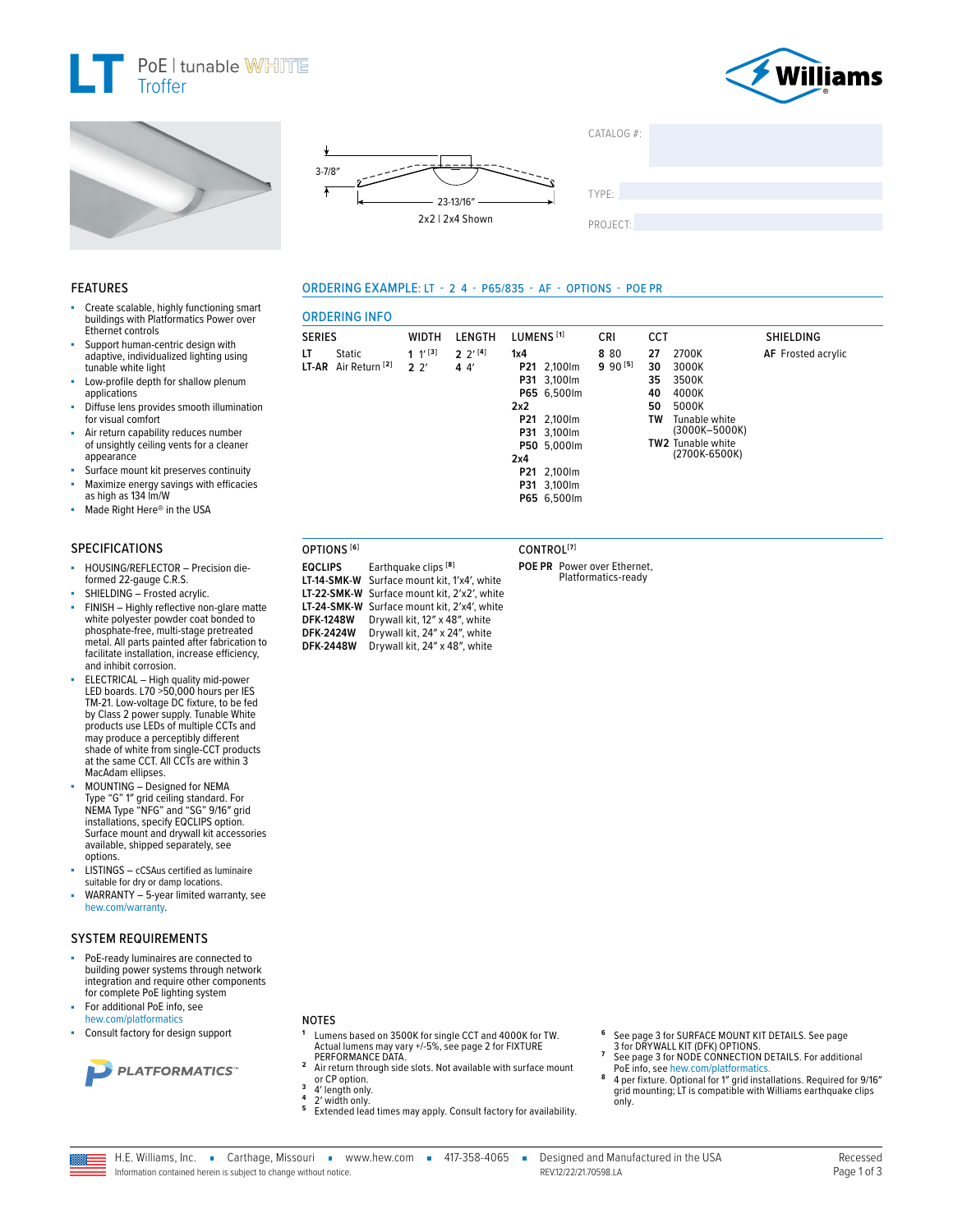







**WIDTH** 

 $1 \t1^{13}$ 

 $2<sup>2</sup>$ 

Earthquake clips<sup>[8]</sup>

Drywall kit, 12" x 48", white

Drywall kit, 24" x 24", white

LT-14-SMK-W Surface mount kit, 1'x4', white

LT-22-SMK-W Surface mount kit, 2'x2', white

LT-24-SMK-W Surface mount kit, 2'x4', white

DFK-2448W Drywall kit, 24" x 48", white

**ORDERING INFO** 

Static

LT-AR Air Return<sup>[2]</sup>

OPTIONS<sup>[6]</sup>

**DFK-1248W** 

**DFK-2424W** 

**EQCLIPS** 

**SERIES** 

LT

ORDERING EXAMPLE: LT - 2 4 - P65/835 - AF - OPTIONS - POE PR

 $2 \frac{2^{1}[4]}{2}$ 

 $44$ 



#### **FEATURES**

- Create scalable, highly functioning smart buildings with Platformatics Power over Ethernet controls
- Support human-centric design with adaptive, individualized lighting using tunable white light
- Low-profile depth for shallow plenum applications
- Diffuse lens provides smooth illumination for visual comfort
- Air return capability reduces number of unsightly ceiling vents for a cleaner appearance
- Surface mount kit preserves continuity
- Maximize energy savings with efficacies<br>as high as 134 lm/W
- Made Right Here® in the USA

# **SPECIFICATIONS**

- HOUSING/REFLECTOR Precision dieformed 22-gauge C.R.S.
- SHIELDING Frosted acrylic.
- FINISH Highly reflective non-glare matte white polyester powder coat bonded to phosphate-free, multi-stage pretreated metal. All parts painted after fabrication to facilitate installation, increase efficiency. and inhibit corrosion.
- ELECTRICAL High quality mid-power<br>LED boards. L70 >50,000 hours per IES TM-21. Low-voltage DC fixture, to be fed<br>by Class 2 power supply. Tunable White products use LEDs of multiple CCTs and may produce a perceptibly different shade of white from single-CCT products<br>at the same CCT. All CCTs are within 3 MacAdam ellipses.
- MOUNTING Designed for NEMA Type "G" 1" grid ceiling standard. For<br>NEMA Type "NFG" and "SG" 9/16" grid installations, specify EQCLIPS option. Surface mount and drywall kit accessories available, shipped separately, see options.
- LISTINGS cCSAus certified as luminaire suitable for dry or damp locations.
- WARRANTY 5-year limited warranty, see hew.com/warranty.

#### **SYSTEM REQUIREMENTS**

- PoE-ready luminaires are connected to building power systems through network integration and require other components for complete PoE lighting system
- For additional PoE info, see hew.com/platformatics
- Consult factory for design support



## **NOTES**

- $\mathbf{1}$ Lumens based on 3500K for single CCT and 4000K for TW. Actual lumens may vary +/-5%, see page 2 for FIXTURE<br>PERFORMANCE DATA.
- $\overline{2}$ Air return through side slots. Not available with surface mount or CP option.<br>4' length only.  $\overline{\mathbf{3}}$
- 
- 2' width only.
- 5 Extended lead times may apply. Consult factory for availability.
- See page 3 for SURFACE MOUNT KIT DETAILS. See page
- 3 for DRYWALL KIT (DFK) OPTIONS.<br>See page 3 for NODE CONNECTION DETAILS. For additional PoE info, see hew.com/platformatics
- 8 4 per fixture. Optional for 1" grid installations. Required for 9/16" grid mounting; LT is compatible with Williams earthquake clips only.

# CONTROL<sup>[7]</sup> POE PR Power over Ethernet,

Platformatics-ready

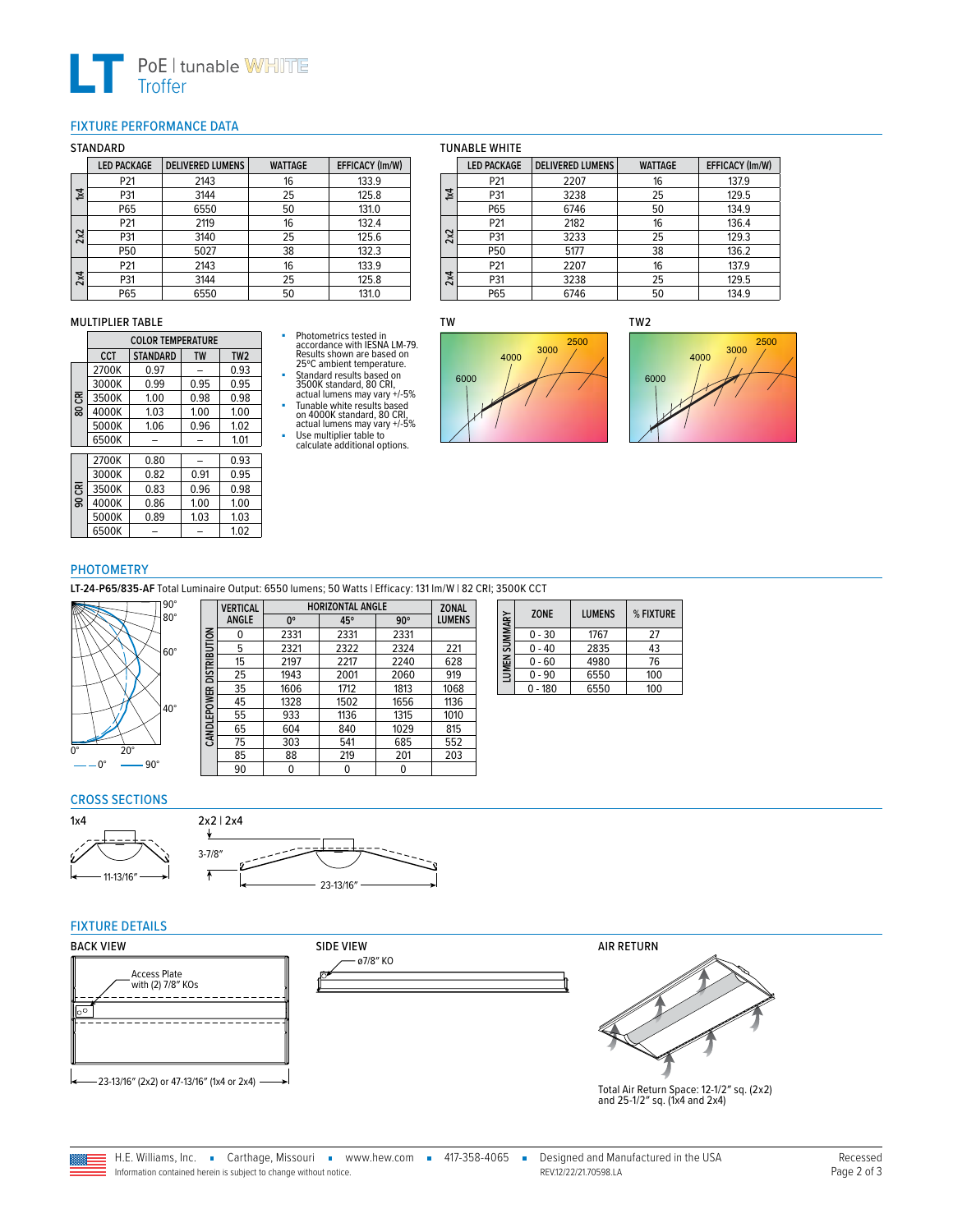

## <span id="page-1-0"></span>FIXTURE PERFORMANCE DATA

#### STANDARD

|     | <b>LED PACKAGE</b> | <b>DELIVERED LUMENS</b> | <b>WATTAGE</b> | EFFICACY (Im/W) |
|-----|--------------------|-------------------------|----------------|-----------------|
| 1x4 | P21                | 2143                    | 16             | 133.9           |
|     | P31                | 3144                    | 25             | 125.8           |
|     | P65                | 6550                    | 50             | 131.0           |
| 2x2 | P21                | 2119                    | 16             | 132.4           |
|     | P31                | 3140                    | 25             | 125.6           |
|     | P50                | 5027                    | 38             | 132.3           |
| 2x4 | P21                | 2143                    | 16             | 133.9           |
|     | P31                | 3144                    | 25             | 125.8           |
|     | P65                | 6550                    | 50             | 131.0           |

#### MULTIPLIER TABLE

|    | <b>COLOR TEMPERATURE</b> |                              |      |                 |  |  |
|----|--------------------------|------------------------------|------|-----------------|--|--|
|    | <b>CCT</b>               | <b>STANDARD</b><br><b>TW</b> |      | TW <sub>2</sub> |  |  |
|    | 2700K                    | 0.97                         |      | 0.93            |  |  |
|    | 3000K                    | 0.99                         | 0.95 | 0.95            |  |  |
| ఔ  | 3500K                    | 1.00                         | 0.98 | 0.98            |  |  |
| 80 | 4000K                    | 1.03                         | 1.00 | 1.00            |  |  |
|    | 5000K                    | 1.06                         | 0.96 | 1.02            |  |  |
|    | 6500K                    |                              |      | 1.01            |  |  |
|    | 2700K                    | 0.80                         |      | 0.93            |  |  |
|    | 3000K                    | 0.82                         | 0.91 | 0.95            |  |  |
| ఔ  | 3500K                    | 0.83                         | 0.96 | 0.98            |  |  |
| g  | 4000K                    | 0.86                         | 1.00 | 1.00            |  |  |
|    | 5000K                    | 0.89                         | 1.03 | 1.03            |  |  |
|    | 6500K                    |                              |      | 1.02            |  |  |

# ■ Photometrics tested in accordance with IESNA LM-79. Results shown are based on 25ºC ambient temperature.

■ Standard results based on 3500K standard, 80 CRI, actual lumens may vary +/-5%

■ Tunable white results based<br>
on 4000K standard, 80 CRI,<br>
actual lumens may vary +/-5%<br>
Use multiplier table to<br>
calculate additional options.

## TUNABLE WHITE

|                           | <b>LED PACKAGE</b> | <b>DELIVERED LUMENS</b> | <b>WATTAGE</b> | EFFICACY (Im/W) |
|---------------------------|--------------------|-------------------------|----------------|-----------------|
| $\overline{\mathsf{x}}$ 4 | P21                | 2207                    | 16             | 137.9           |
|                           | P31                | 3238                    | 25             | 129.5           |
|                           | P65                | 6746                    | 50             | 134.9           |
|                           | P21                | 2182                    | 16             | 136.4           |
| 2x2                       | P31                | 3233                    | 25             | 129.3           |
|                           | P50                | 5177                    | 38             | 136.2           |
|                           | P21                | 2207                    | 16             | 137.9           |
| 2x4                       | P31                | 3238                    | 25             | 129.5           |
|                           | P65                | 6746                    | 50             | 134.9           |

TW





## PHOTOMETRY

**LT-24-P65/835-AF** Total Luminaire Output: 6550 lumens; 50 Watts | Efficacy: 131 lm/W | 82 CRI; 3500K CCT



|                     | <b>VERTICAL</b> | <b>HORIZONTAL ANGLE</b> |      |            | <b>ZONAL</b>  |  |  |
|---------------------|-----------------|-------------------------|------|------------|---------------|--|--|
|                     | <b>ANGLE</b>    | 0°                      | 45°  | $90^\circ$ | <b>LUMENS</b> |  |  |
|                     | 0               | 2331                    | 2331 | 2331       |               |  |  |
| <b>DISTRIBUTION</b> | 5               | 2321                    | 2322 | 2324       | 221           |  |  |
|                     | 15              | 2197                    | 2217 | 2240       | 628           |  |  |
|                     | 25              | 1943                    | 2001 | 2060       | 919           |  |  |
|                     | 35              | 1606                    | 1712 | 1813       | 1068          |  |  |
|                     | 45              | 1328                    | 1502 | 1656       | 1136          |  |  |
| <b>CANDLEPOWER</b>  | 55              | 933                     | 1136 | 1315       | 1010          |  |  |
|                     | 65              | 604                     | 840  | 1029       | 815           |  |  |
|                     | 75              | 303                     | 541  | 685        | 552           |  |  |
|                     | 85              | 88                      | 219  | 201        | 203           |  |  |
|                     | 90              | 0                       | 0    | 0          |               |  |  |

| LUMEN SUMMARY | <b>ZONE</b> | <b>LUMENS</b> | % FIXTURE |
|---------------|-------------|---------------|-----------|
|               | $0 - 30$    | 1767          | 27        |
|               | $0 - 40$    | 2835          | 43        |
|               | $0 - 60$    | 4980          | 76        |
|               | $0 - 90$    | 6550          | 100       |
|               | $0 - 180$   | 6550          | 100       |

# CROSS SECTIONS





## FIXTURE DETAILS